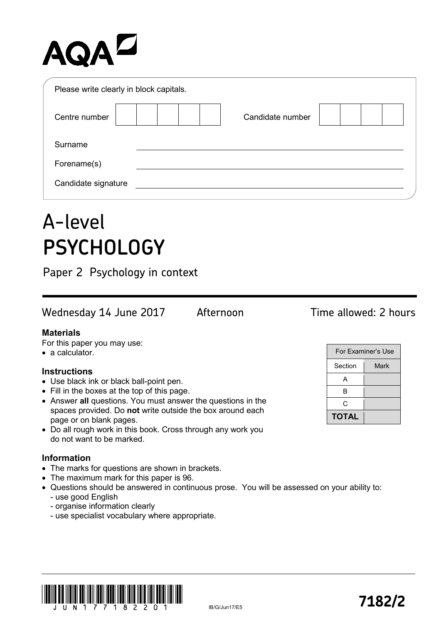# AQAZ

| Please write clearly in block capitals. |                  |  |
|-----------------------------------------|------------------|--|
| Centre number                           | Candidate number |  |
| Surname                                 |                  |  |
| Forename(s)                             |                  |  |
| Candidate signature                     |                  |  |

## A-level **PSYCHOLOGY**

Paper 2 Psychology in context

Wednesday 14 June 2017 Afternoon Time allowed: 2 hours

| <b>Materials</b> |  |
|------------------|--|
|                  |  |

For this paper you may use:

• a calculator.

#### **Instructions**

- Use black ink or black ball-point pen.
- Fill in the boxes at the top of this page.
- Answer **all** questions. You must answer the questions in the spaces provided. Do **not** write outside the box around each page or on blank pages.
- Do all rough work in this book. Cross through any work you do not want to be marked.

#### **Information**

- The marks for questions are shown in brackets.
- The maximum mark for this paper is 96.
- Questions should be answered in continuous prose. You will be assessed on your ability to:
	- use good English
	- organise information clearly
	- use specialist vocabulary where appropriate.



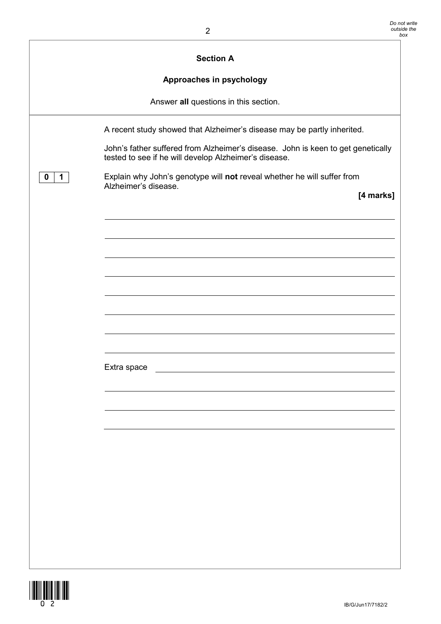|                  | <b>Section A</b>                                                                                                                          |
|------------------|-------------------------------------------------------------------------------------------------------------------------------------------|
|                  | Approaches in psychology                                                                                                                  |
|                  | Answer all questions in this section.                                                                                                     |
|                  | A recent study showed that Alzheimer's disease may be partly inherited.                                                                   |
|                  | John's father suffered from Alzheimer's disease. John is keen to get genetically<br>tested to see if he will develop Alzheimer's disease. |
| $\mathbf 1$<br>0 | Explain why John's genotype will not reveal whether he will suffer from<br>Alzheimer's disease.                                           |
|                  | [4 marks]                                                                                                                                 |
|                  |                                                                                                                                           |
|                  |                                                                                                                                           |
|                  |                                                                                                                                           |
|                  |                                                                                                                                           |
|                  |                                                                                                                                           |
|                  |                                                                                                                                           |
|                  |                                                                                                                                           |
|                  |                                                                                                                                           |
|                  |                                                                                                                                           |
|                  |                                                                                                                                           |
|                  |                                                                                                                                           |
|                  |                                                                                                                                           |
|                  |                                                                                                                                           |
|                  |                                                                                                                                           |
|                  |                                                                                                                                           |
|                  |                                                                                                                                           |
|                  |                                                                                                                                           |

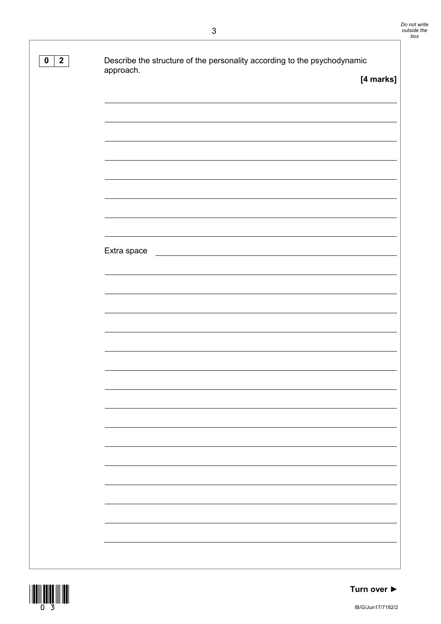| $\boldsymbol{2}$<br>$\pmb{0}$ | Describe the structure of the personality according to the psychodynamic |           |
|-------------------------------|--------------------------------------------------------------------------|-----------|
|                               | approach.                                                                | [4 marks] |
|                               |                                                                          |           |
|                               |                                                                          |           |
|                               |                                                                          |           |
|                               |                                                                          |           |
|                               |                                                                          |           |
|                               |                                                                          |           |
|                               |                                                                          |           |
|                               | Extra space                                                              |           |
|                               |                                                                          |           |
|                               |                                                                          |           |
|                               |                                                                          |           |
|                               |                                                                          |           |
|                               |                                                                          |           |
|                               |                                                                          |           |
|                               |                                                                          |           |
|                               |                                                                          |           |
|                               |                                                                          |           |
|                               |                                                                          |           |
|                               |                                                                          |           |
|                               |                                                                          |           |
|                               |                                                                          |           |
|                               |                                                                          |           |
|                               |                                                                          |           |

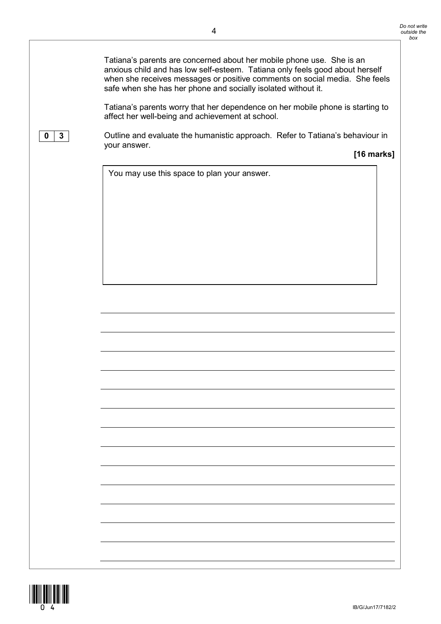

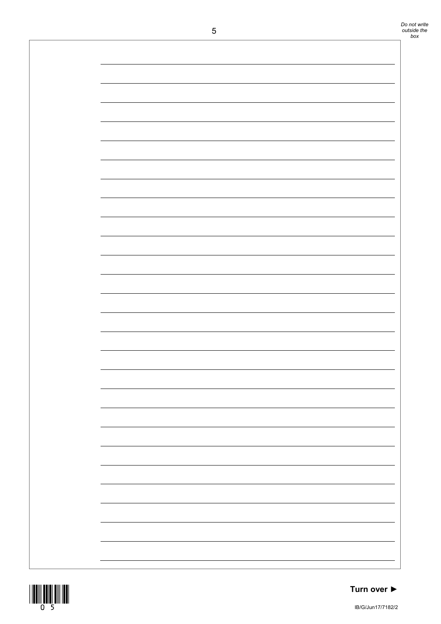

5



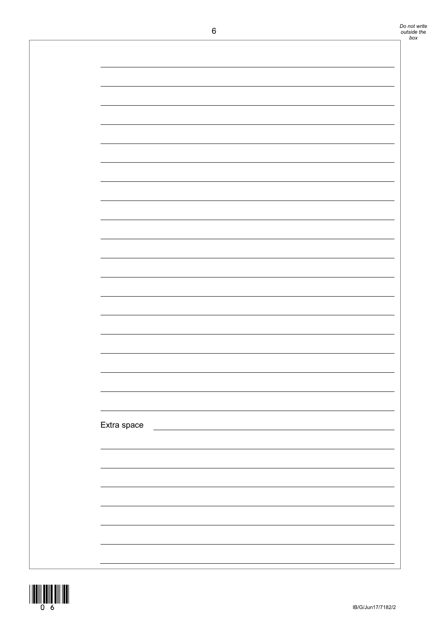| Extra space                                                      |
|------------------------------------------------------------------|
| <u> 1989 - Johann Barn, mars ar breithinn ar chuid ann an t-</u> |
|                                                                  |
|                                                                  |
|                                                                  |
|                                                                  |
|                                                                  |
|                                                                  |
|                                                                  |
|                                                                  |
|                                                                  |
|                                                                  |
|                                                                  |

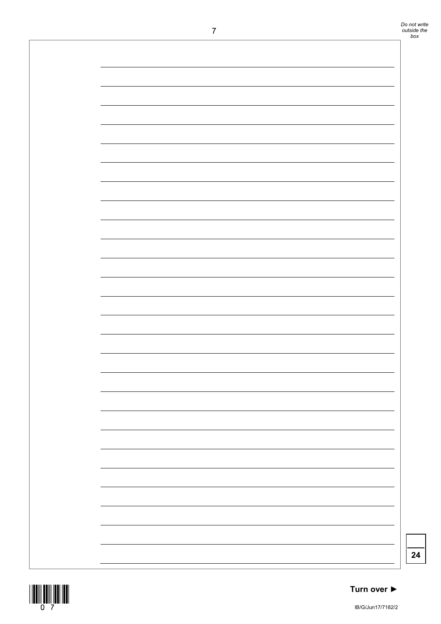

7





**24**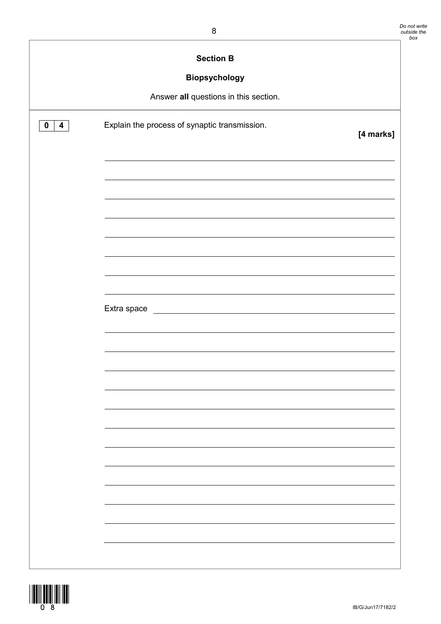|                              | <b>Section B</b>                                                                                                                                                                                                                    |           |
|------------------------------|-------------------------------------------------------------------------------------------------------------------------------------------------------------------------------------------------------------------------------------|-----------|
|                              | <b>Biopsychology</b>                                                                                                                                                                                                                |           |
|                              | Answer all questions in this section.                                                                                                                                                                                               |           |
| $\overline{\mathbf{4}}$<br>0 | Explain the process of synaptic transmission.                                                                                                                                                                                       | [4 marks] |
|                              |                                                                                                                                                                                                                                     |           |
|                              | <u> 1989 - Johann Stoff, deutscher Stoffen und der Stoffen und der Stoffen und der Stoffen und der Stoffen und de</u>                                                                                                               |           |
|                              | ,我们也不会有什么。""我们的人,我们也不会有什么?""我们的人,我们也不会有什么?""我们的人,我们也不会有什么?""我们的人,我们也不会有什么?""我们的人                                                                                                                                                    |           |
|                              |                                                                                                                                                                                                                                     |           |
|                              | Extra space <u>extra space</u> extra space extra space and the set of the set of the set of the set of the set of the set of the set of the set of the set of the set of the set of the set of the set of the set of the set of the |           |
|                              |                                                                                                                                                                                                                                     |           |
|                              |                                                                                                                                                                                                                                     |           |
|                              |                                                                                                                                                                                                                                     |           |
|                              |                                                                                                                                                                                                                                     |           |
|                              |                                                                                                                                                                                                                                     |           |
|                              |                                                                                                                                                                                                                                     |           |
|                              |                                                                                                                                                                                                                                     |           |
|                              |                                                                                                                                                                                                                                     |           |

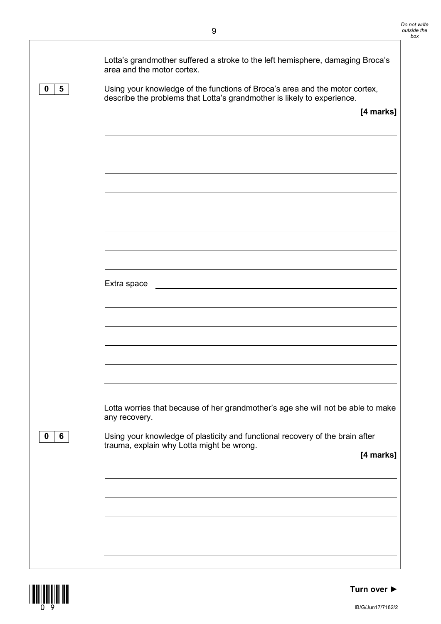|                     | Lotta's grandmother suffered a stroke to the left hemisphere, damaging Broca's<br>area and the motor cortex.                                           |
|---------------------|--------------------------------------------------------------------------------------------------------------------------------------------------------|
| 5 <sub>5</sub><br>0 | Using your knowledge of the functions of Broca's area and the motor cortex,<br>describe the problems that Lotta's grandmother is likely to experience. |
|                     | [4 marks]                                                                                                                                              |
|                     |                                                                                                                                                        |
|                     |                                                                                                                                                        |
|                     |                                                                                                                                                        |
|                     |                                                                                                                                                        |
|                     |                                                                                                                                                        |
|                     |                                                                                                                                                        |
|                     |                                                                                                                                                        |
|                     | Extra space                                                                                                                                            |
|                     |                                                                                                                                                        |
|                     |                                                                                                                                                        |
|                     |                                                                                                                                                        |
|                     |                                                                                                                                                        |
|                     |                                                                                                                                                        |
|                     | Lotta worries that because of her grandmother's age she will not be able to make<br>any recovery.                                                      |
| 6<br>0              | Using your knowledge of plasticity and functional recovery of the brain after<br>trauma, explain why Lotta might be wrong.                             |
|                     | [4 marks]                                                                                                                                              |
|                     |                                                                                                                                                        |
|                     |                                                                                                                                                        |
|                     |                                                                                                                                                        |
|                     |                                                                                                                                                        |
|                     |                                                                                                                                                        |

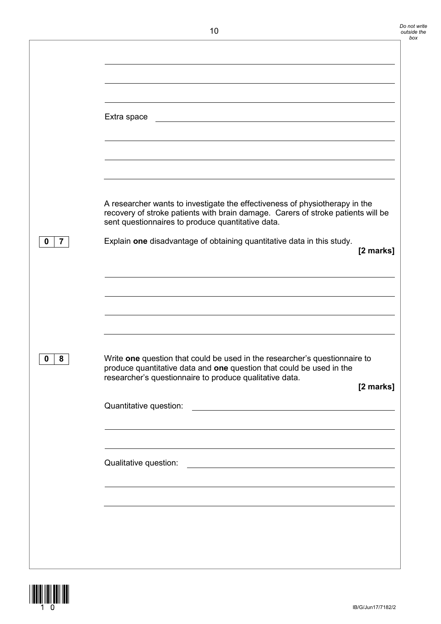| Extra space                                                                                                                                                                                                          |
|----------------------------------------------------------------------------------------------------------------------------------------------------------------------------------------------------------------------|
|                                                                                                                                                                                                                      |
|                                                                                                                                                                                                                      |
|                                                                                                                                                                                                                      |
|                                                                                                                                                                                                                      |
|                                                                                                                                                                                                                      |
|                                                                                                                                                                                                                      |
|                                                                                                                                                                                                                      |
|                                                                                                                                                                                                                      |
|                                                                                                                                                                                                                      |
| A researcher wants to investigate the effectiveness of physiotherapy in the<br>recovery of stroke patients with brain damage. Carers of stroke patients will be<br>sent questionnaires to produce quantitative data. |
| Explain one disadvantage of obtaining quantitative data in this study.                                                                                                                                               |
| [2 marks]                                                                                                                                                                                                            |
|                                                                                                                                                                                                                      |
|                                                                                                                                                                                                                      |
|                                                                                                                                                                                                                      |
|                                                                                                                                                                                                                      |
|                                                                                                                                                                                                                      |
| Write one question that could be used in the researcher's questionnaire to<br>produce quantitative data and one question that could be used in the                                                                   |
| researcher's questionnaire to produce qualitative data.                                                                                                                                                              |
| [2 marks]                                                                                                                                                                                                            |
|                                                                                                                                                                                                                      |
|                                                                                                                                                                                                                      |
|                                                                                                                                                                                                                      |
| Qualitative question:<br><u> 1989 - Johann Harry Harry Harry Harry Harry Harry Harry Harry Harry Harry Harry Harry Harry Harry Harry Harry</u>                                                                       |
|                                                                                                                                                                                                                      |
|                                                                                                                                                                                                                      |
|                                                                                                                                                                                                                      |
|                                                                                                                                                                                                                      |
|                                                                                                                                                                                                                      |
|                                                                                                                                                                                                                      |

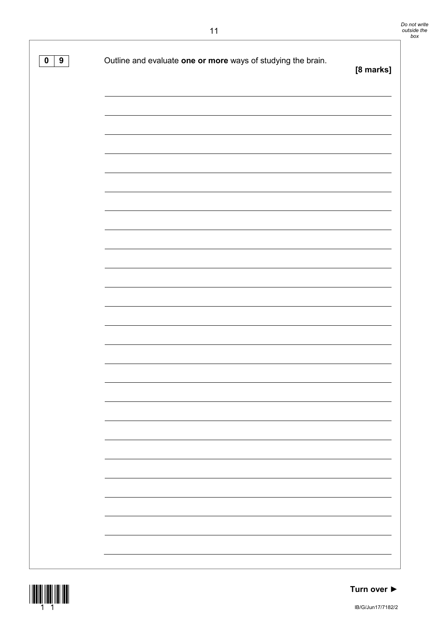| 9<br>0 | Outline and evaluate one or more ways of studying the brain.                                                         | [8 marks] |
|--------|----------------------------------------------------------------------------------------------------------------------|-----------|
|        |                                                                                                                      |           |
|        |                                                                                                                      |           |
|        |                                                                                                                      |           |
|        |                                                                                                                      |           |
|        |                                                                                                                      |           |
|        |                                                                                                                      |           |
|        |                                                                                                                      |           |
|        |                                                                                                                      |           |
|        |                                                                                                                      |           |
|        | <u> 1989 - Andrea Santa Andrea Andrea Andrea Andrea Andrea Andrea Andrea Andrea Andrea Andrea Andrea Andrea Andr</u> |           |
|        |                                                                                                                      |           |
|        |                                                                                                                      |           |
|        |                                                                                                                      |           |
|        |                                                                                                                      |           |
|        |                                                                                                                      |           |
|        |                                                                                                                      |           |
|        |                                                                                                                      |           |
|        |                                                                                                                      |           |
|        |                                                                                                                      |           |
|        |                                                                                                                      |           |
|        |                                                                                                                      |           |
|        |                                                                                                                      |           |



**Turn over ►**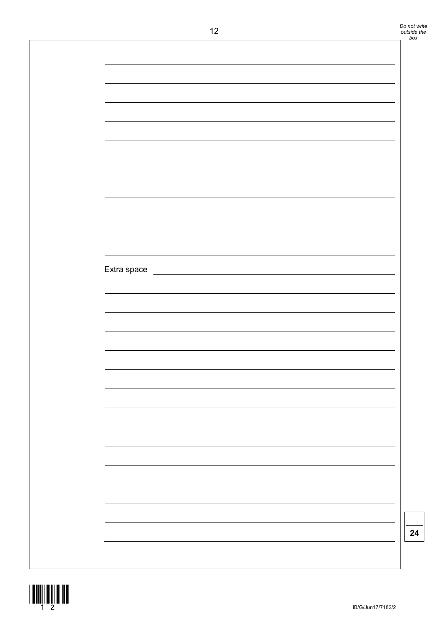| Extra space              |
|--------------------------|
|                          |
|                          |
|                          |
|                          |
|                          |
|                          |
|                          |
|                          |
|                          |
|                          |
|                          |
|                          |
|                          |
|                          |
|                          |
|                          |
| ÷.                       |
|                          |
|                          |
|                          |
|                          |
| ÷.                       |
|                          |
|                          |
| $\overline{\phantom{0}}$ |
|                          |
| $\overline{\phantom{0}}$ |
|                          |
|                          |
|                          |
|                          |
|                          |
|                          |
|                          |
|                          |
|                          |
|                          |
|                          |
|                          |



**24**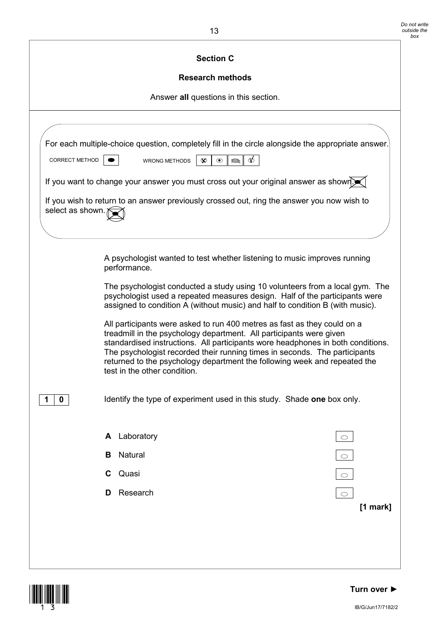|                  | <b>Section C</b>                                                                                                                                                                                                                                                                                                                                                                                                              |          |
|------------------|-------------------------------------------------------------------------------------------------------------------------------------------------------------------------------------------------------------------------------------------------------------------------------------------------------------------------------------------------------------------------------------------------------------------------------|----------|
|                  | <b>Research methods</b>                                                                                                                                                                                                                                                                                                                                                                                                       |          |
|                  | Answer all questions in this section.                                                                                                                                                                                                                                                                                                                                                                                         |          |
| CORRECT METHOD   | For each multiple-choice question, completely fill in the circle alongside the appropriate answer.<br>ɗó<br>$\circledcirc$<br><b>WRONG METHODS</b><br>$\infty$<br>€<br>If you want to change your answer you must cross out your original answer as shown<br>If you wish to return to an answer previously crossed out, ring the answer you now wish to                                                                       |          |
| select as shown. |                                                                                                                                                                                                                                                                                                                                                                                                                               |          |
|                  | A psychologist wanted to test whether listening to music improves running<br>performance.                                                                                                                                                                                                                                                                                                                                     |          |
|                  | The psychologist conducted a study using 10 volunteers from a local gym. The<br>psychologist used a repeated measures design. Half of the participants were<br>assigned to condition A (without music) and half to condition B (with music).                                                                                                                                                                                  |          |
|                  | All participants were asked to run 400 metres as fast as they could on a<br>treadmill in the psychology department. All participants were given<br>standardised instructions. All participants wore headphones in both conditions.<br>The psychologist recorded their running times in seconds. The participants<br>returned to the psychology department the following week and repeated the<br>test in the other condition. |          |
| $\mathbf 0$      | Identify the type of experiment used in this study. Shade one box only.                                                                                                                                                                                                                                                                                                                                                       |          |
|                  | A Laboratory                                                                                                                                                                                                                                                                                                                                                                                                                  | $\circ$  |
|                  | Natural<br>в                                                                                                                                                                                                                                                                                                                                                                                                                  | $\circ$  |
|                  | Quasi<br>C.                                                                                                                                                                                                                                                                                                                                                                                                                   |          |
|                  | Research<br>D                                                                                                                                                                                                                                                                                                                                                                                                                 | $\circ$  |
|                  |                                                                                                                                                                                                                                                                                                                                                                                                                               | [1 mark] |
|                  |                                                                                                                                                                                                                                                                                                                                                                                                                               |          |
|                  |                                                                                                                                                                                                                                                                                                                                                                                                                               |          |
|                  |                                                                                                                                                                                                                                                                                                                                                                                                                               |          |

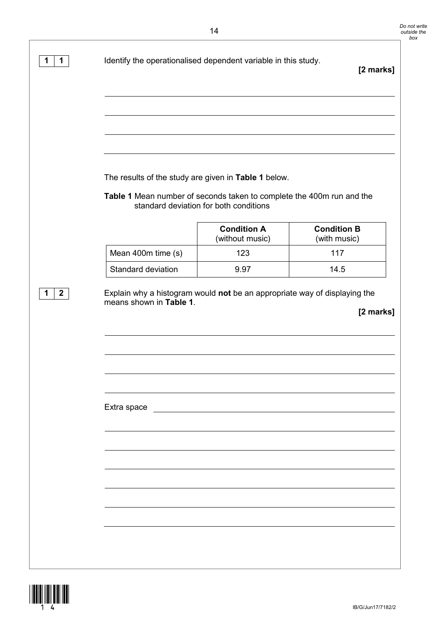| The results of the study are given in Table 1 below.                                                 |                                               |                                    |
|------------------------------------------------------------------------------------------------------|-----------------------------------------------|------------------------------------|
| Table 1 Mean number of seconds taken to complete the 400m run and the                                | standard deviation for both conditions        |                                    |
|                                                                                                      | <b>Condition A</b><br>(without music)         | <b>Condition B</b><br>(with music) |
| Mean 400m time (s)                                                                                   | 123                                           | 117                                |
| Standard deviation                                                                                   | 9.97                                          | 14.5                               |
| Explain why a histogram would not be an appropriate way of displaying the<br>means shown in Table 1. |                                               |                                    |
|                                                                                                      |                                               |                                    |
|                                                                                                      |                                               |                                    |
| Extra space                                                                                          | <u> 1980 - Andrea Andrew Maria (h. 1980).</u> |                                    |
|                                                                                                      |                                               |                                    |
|                                                                                                      |                                               |                                    |

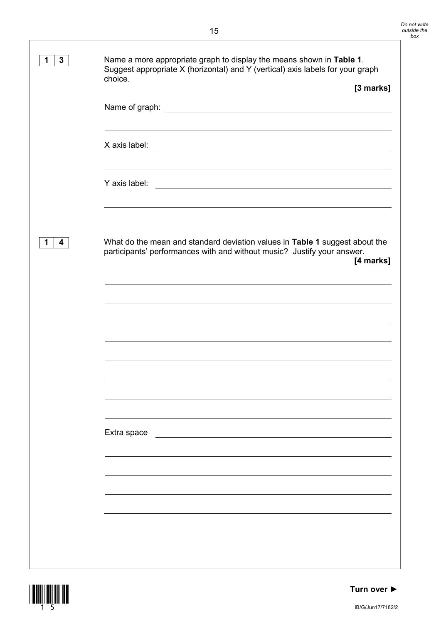| 3 | Name a more appropriate graph to display the means shown in Table 1.<br>Suggest appropriate X (horizontal) and Y (vertical) axis labels for your graph<br>choice.   |  |
|---|---------------------------------------------------------------------------------------------------------------------------------------------------------------------|--|
|   | [3 marks]                                                                                                                                                           |  |
|   |                                                                                                                                                                     |  |
|   | X axis label:<br><u> Andreas Andreas Andreas Andreas Andreas Andreas Andreas Andreas Andreas Andreas Andreas Andreas Andreas Andr</u>                               |  |
|   | Y axis label:<br><u> 1980 - Johann Barbara, martxa alemaniar amerikan basar da a</u>                                                                                |  |
| 4 | What do the mean and standard deviation values in Table 1 suggest about the<br>participants' performances with and without music? Justify your answer.<br>[4 marks] |  |
|   |                                                                                                                                                                     |  |
|   |                                                                                                                                                                     |  |
|   |                                                                                                                                                                     |  |
|   |                                                                                                                                                                     |  |
|   | Extra space                                                                                                                                                         |  |
|   |                                                                                                                                                                     |  |
|   |                                                                                                                                                                     |  |
|   |                                                                                                                                                                     |  |



**Turn over ►**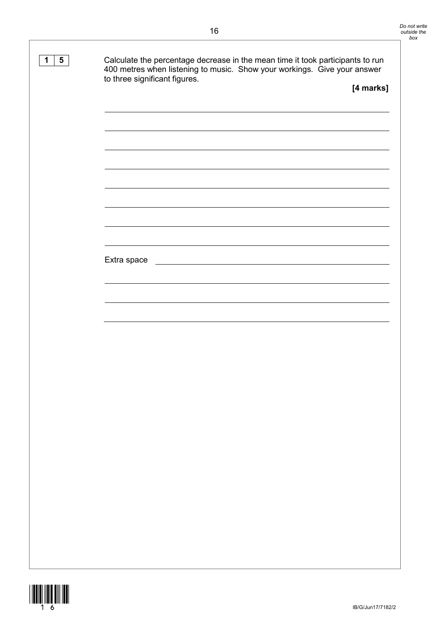**1** | **5** | Calculate the percentage decrease in the mean time it took participants to run 400 metres when listening to music. Show your workings. Give your answer to three significant figures. **[4 marks]** Extra space

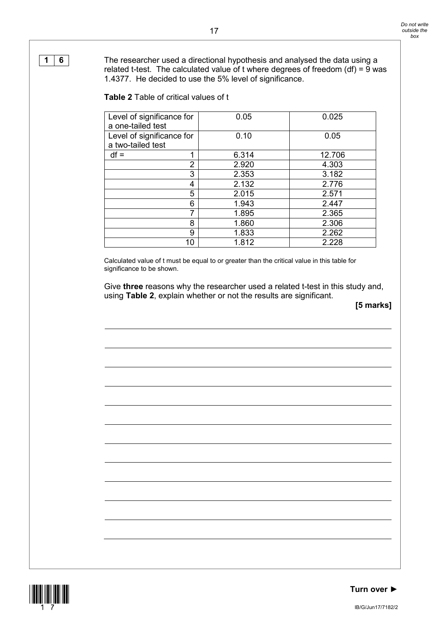**1 6** The researcher used a directional hypothesis and analysed the data using a related t-test. The calculated value of t where degrees of freedom (df) =  $\frac{9}{9}$  was 1.4377. He decided to use the 5% level of significance.

**Table 2** Table of critical values of t

| Level of significance for<br>a one-tailed test | 0.05  | 0.025  |
|------------------------------------------------|-------|--------|
| Level of significance for<br>a two-tailed test | 0.10  | 0.05   |
| $df =$                                         | 6.314 | 12.706 |
| 2                                              | 2.920 | 4.303  |
| 3                                              | 2.353 | 3.182  |
| 4                                              | 2.132 | 2.776  |
| 5                                              | 2.015 | 2.571  |
| 6                                              | 1.943 | 2.447  |
| 7                                              | 1.895 | 2.365  |
| 8                                              | 1.860 | 2.306  |
| 9                                              | 1.833 | 2.262  |
| 10                                             | 1.812 | 2.228  |

Calculated value of t must be equal to or greater than the critical value in this table for significance to be shown.

Give **three** reasons why the researcher used a related t-test in this study and, using **Table 2**, explain whether or not the results are significant.

**[5 marks]**

\*17\*

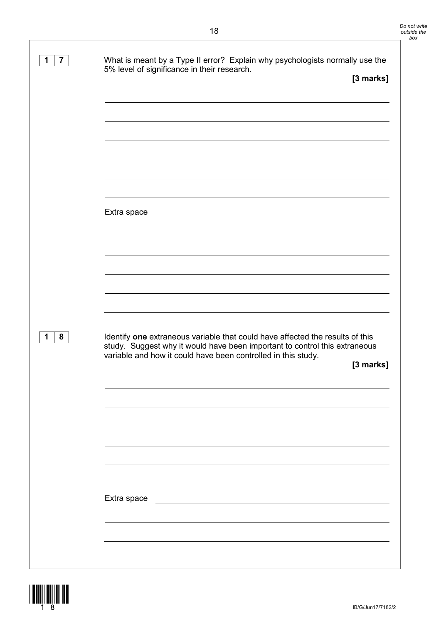| $\overline{\mathbf{7}}$ | 5% level of significance in their research.<br>[3 marks]                                                                                                                                                                                  |
|-------------------------|-------------------------------------------------------------------------------------------------------------------------------------------------------------------------------------------------------------------------------------------|
|                         |                                                                                                                                                                                                                                           |
|                         |                                                                                                                                                                                                                                           |
|                         |                                                                                                                                                                                                                                           |
|                         |                                                                                                                                                                                                                                           |
|                         |                                                                                                                                                                                                                                           |
|                         | Extra space                                                                                                                                                                                                                               |
|                         |                                                                                                                                                                                                                                           |
|                         |                                                                                                                                                                                                                                           |
|                         |                                                                                                                                                                                                                                           |
|                         |                                                                                                                                                                                                                                           |
| 8<br>1                  | Identify one extraneous variable that could have affected the results of this<br>study. Suggest why it would have been important to control this extraneous<br>variable and how it could have been controlled in this study.<br>[3 marks] |
|                         |                                                                                                                                                                                                                                           |
|                         |                                                                                                                                                                                                                                           |
|                         |                                                                                                                                                                                                                                           |
|                         |                                                                                                                                                                                                                                           |
|                         | Extra space                                                                                                                                                                                                                               |
|                         |                                                                                                                                                                                                                                           |

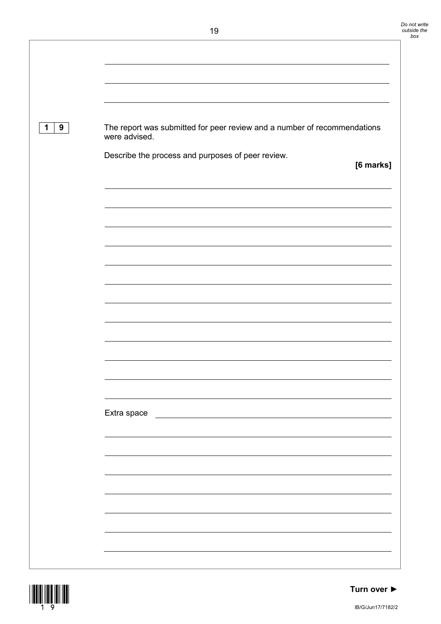| 9<br>1 | The report was submitted for peer review and a number of recommendations<br>were advised. |
|--------|-------------------------------------------------------------------------------------------|
|        | Describe the process and purposes of peer review.<br>[6 marks]                            |
|        |                                                                                           |
|        |                                                                                           |
|        |                                                                                           |
|        |                                                                                           |
|        |                                                                                           |
|        |                                                                                           |
|        |                                                                                           |
|        |                                                                                           |
|        |                                                                                           |
|        | Extra space                                                                               |
|        |                                                                                           |
|        |                                                                                           |
|        |                                                                                           |
|        |                                                                                           |
|        |                                                                                           |
|        |                                                                                           |

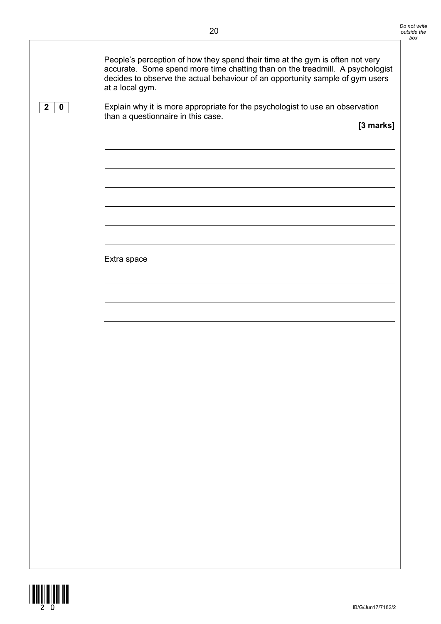|                              | People's perception of how they spend their time at the gym is often not very<br>accurate. Some spend more time chatting than on the treadmill. A psychologist<br>decides to observe the actual behaviour of an opportunity sample of gym users<br>at a local gym. |
|------------------------------|--------------------------------------------------------------------------------------------------------------------------------------------------------------------------------------------------------------------------------------------------------------------|
| $\mathbf{2}$<br>$\mathbf{0}$ | Explain why it is more appropriate for the psychologist to use an observation<br>than a questionnaire in this case.                                                                                                                                                |
|                              | [3 marks]                                                                                                                                                                                                                                                          |
|                              |                                                                                                                                                                                                                                                                    |
|                              |                                                                                                                                                                                                                                                                    |
|                              |                                                                                                                                                                                                                                                                    |
|                              |                                                                                                                                                                                                                                                                    |
|                              |                                                                                                                                                                                                                                                                    |
|                              |                                                                                                                                                                                                                                                                    |
|                              | Extra space<br><u> 1980 - Johann Stoff, deutscher Stoff, der Stoff, deutscher Stoff, der Stoff, der Stoff, der Stoff, der Stoff, </u>                                                                                                                              |
|                              |                                                                                                                                                                                                                                                                    |
|                              |                                                                                                                                                                                                                                                                    |
|                              |                                                                                                                                                                                                                                                                    |
|                              |                                                                                                                                                                                                                                                                    |
|                              |                                                                                                                                                                                                                                                                    |
|                              |                                                                                                                                                                                                                                                                    |
|                              |                                                                                                                                                                                                                                                                    |
|                              |                                                                                                                                                                                                                                                                    |
|                              |                                                                                                                                                                                                                                                                    |
|                              |                                                                                                                                                                                                                                                                    |
|                              |                                                                                                                                                                                                                                                                    |
|                              |                                                                                                                                                                                                                                                                    |
|                              |                                                                                                                                                                                                                                                                    |
|                              |                                                                                                                                                                                                                                                                    |
|                              |                                                                                                                                                                                                                                                                    |
|                              |                                                                                                                                                                                                                                                                    |
|                              |                                                                                                                                                                                                                                                                    |

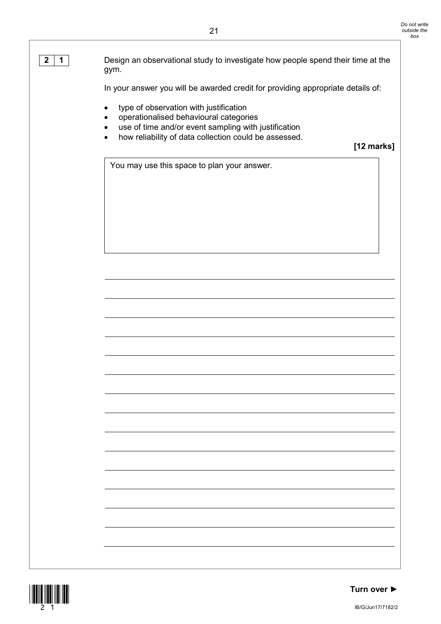#### **2 1** Design an observational study to investigate how people spend their time at the gym.

In your answer you will be awarded credit for providing appropriate details of:

- type of observation with justification
- operationalised behavioural categories
- use of time and/or event sampling with justification
- how reliability of data collection could be assessed.

**[12 marks]**

You may use this space to plan your answer.



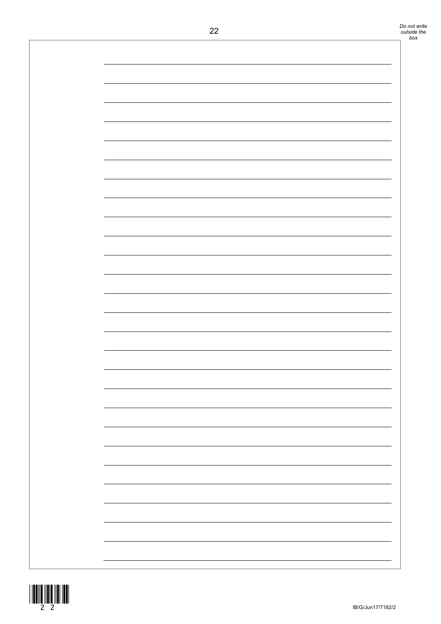

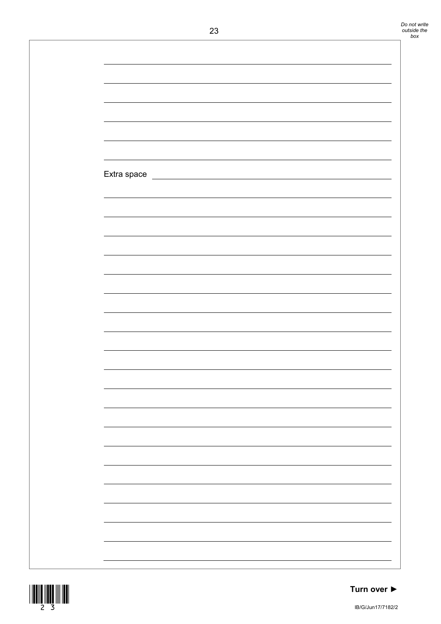